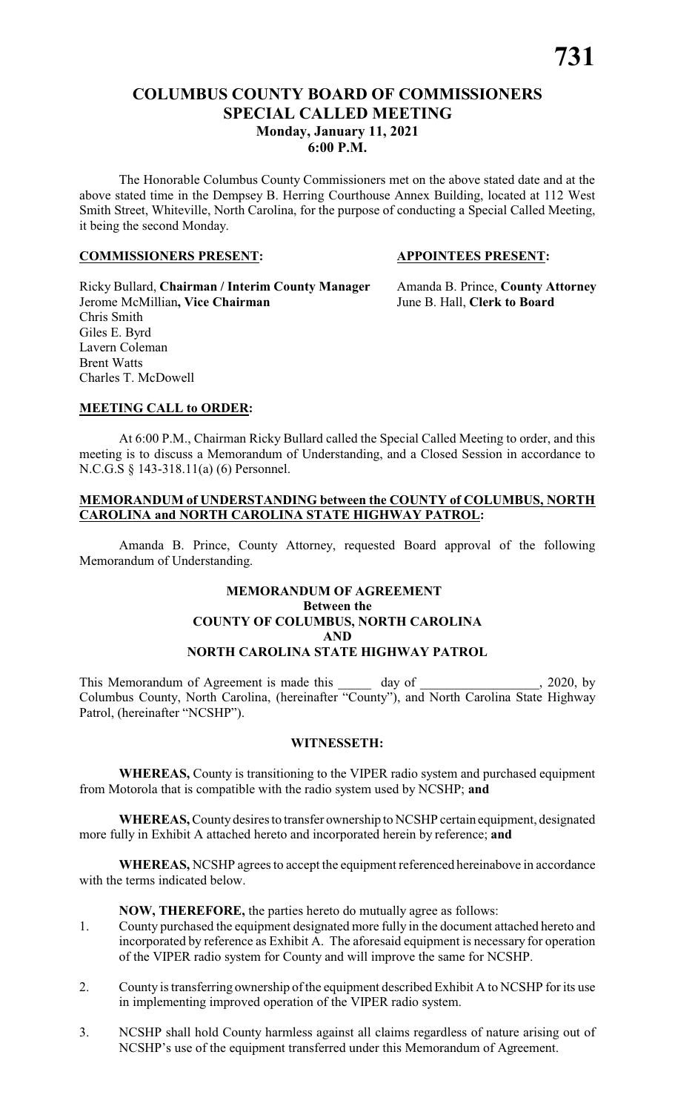# **COLUMBUS COUNTY BOARD OF COMMISSIONERS SPECIAL CALLED MEETING Monday, January 11, 2021 6:00 P.M.**

The Honorable Columbus County Commissioners met on the above stated date and at the above stated time in the Dempsey B. Herring Courthouse Annex Building, located at 112 West Smith Street, Whiteville, North Carolina, for the purpose of conducting a Special Called Meeting, it being the second Monday.

#### **COMMISSIONERS PRESENT: APPOINTEES PRESENT:**

Ricky Bullard, **Chairman / Interim County Manager** Amanda B. Prince, **County Attorney** Jerome McMillian**, Vice Chairman** June B. Hall, **Clerk to Board** Chris Smith Giles E. Byrd Lavern Coleman Brent Watts Charles T. McDowell

### **MEETING CALL to ORDER:**

At 6:00 P.M., Chairman Ricky Bullard called the Special Called Meeting to order, and this meeting is to discuss a Memorandum of Understanding, and a Closed Session in accordance to N.C.G.S § 143-318.11(a) (6) Personnel.

### **MEMORANDUM of UNDERSTANDING between the COUNTY of COLUMBUS, NORTH CAROLINA and NORTH CAROLINA STATE HIGHWAY PATROL:**

Amanda B. Prince, County Attorney, requested Board approval of the following Memorandum of Understanding.

#### **MEMORANDUM OF AGREEMENT Between the COUNTY OF COLUMBUS, NORTH CAROLINA AND NORTH CAROLINA STATE HIGHWAY PATROL**

This Memorandum of Agreement is made this \_\_\_\_\_\_ day of \_\_\_\_\_\_\_\_\_\_\_\_\_\_\_, 2020, by Columbus County, North Carolina, (hereinafter "County"), and North Carolina State Highway Patrol, (hereinafter "NCSHP").

### **WITNESSETH:**

**WHEREAS,** County is transitioning to the VIPER radio system and purchased equipment from Motorola that is compatible with the radio system used by NCSHP; **and**

**WHEREAS,**Countydesires to transfer ownership to NCSHP certain equipment, designated more fully in Exhibit A attached hereto and incorporated herein by reference; **and**

**WHEREAS,** NCSHP agrees to accept the equipment referenced hereinabove in accordance with the terms indicated below.

**NOW, THEREFORE,** the parties hereto do mutually agree as follows:

- 1. County purchased the equipment designated more fully in the document attached hereto and incorporated by reference as Exhibit A. The aforesaid equipment is necessary for operation of the VIPER radio system for County and will improve the same for NCSHP.
- 2. County is transferring ownership of the equipment described Exhibit A to NCSHP for its use in implementing improved operation of the VIPER radio system.
- 3. NCSHP shall hold County harmless against all claims regardless of nature arising out of NCSHP's use of the equipment transferred under this Memorandum of Agreement.